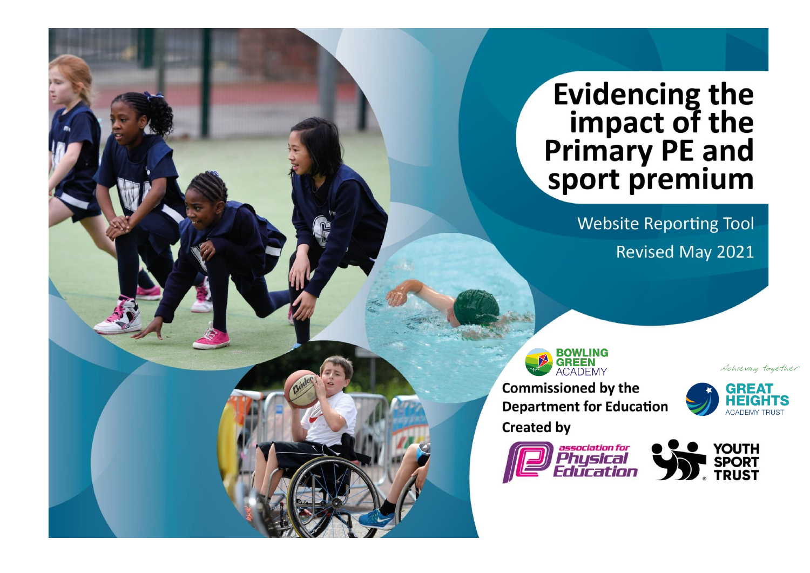## **Evidencing the<br>impact of the<br>Primary PE and<br>sport premium**

**Website Reporting Tool Revised May 2021** 

**BOWLING GREEN** 

**Commissioned by the Department for Education Created by** 



Achieving together



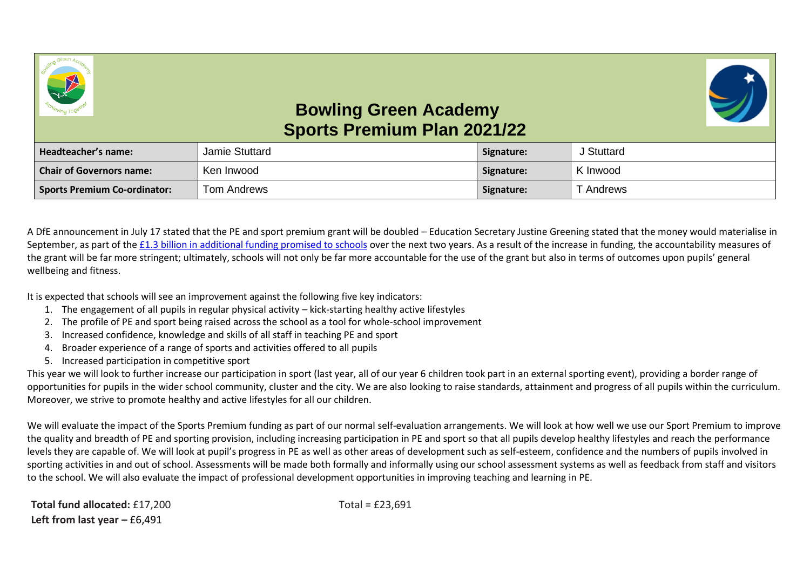



## **Bowling Green Academy Sports Premium Plan 2021/22**

| Headteacher's name:                 | Jamie Stuttard | Signature: | J Stuttard |
|-------------------------------------|----------------|------------|------------|
| <b>Chair of Governors name:</b>     | Ken Inwood     | Signature: | K Inwood   |
| <b>Sports Premium Co-ordinator:</b> | Tom Andrews    | Signature: | T Andrews  |

A DfE announcement in July 17 stated that the PE and sport premium grant will be doubled – Education Secretary Justine Greening stated that the money would materialise in September, as part of the [£1.3 billion in additional funding promised to schools](https://schoolsweek.co.uk/justine-greening-pledges-additional-1-3-billion-for-schools-over-two-years/) over the next two years. As a result of the increase in funding, the accountability measures of the grant will be far more stringent; ultimately, schools will not only be far more accountable for the use of the grant but also in terms of outcomes upon pupils' general wellbeing and fitness.

It is expected that schools will see an improvement against the following five key indicators:

- 1. The engagement of all pupils in regular physical activity kick-starting healthy active lifestyles
- 2. The profile of PE and sport being raised across the school as a tool for whole-school improvement
- 3. Increased confidence, knowledge and skills of all staff in teaching PE and sport
- 4. Broader experience of a range of sports and activities offered to all pupils
- 5. Increased participation in competitive sport

This year we will look to further increase our participation in sport (last year, all of our year 6 children took part in an external sporting event), providing a border range of opportunities for pupils in the wider school community, cluster and the city. We are also looking to raise standards, attainment and progress of all pupils within the curriculum. Moreover, we strive to promote healthy and active lifestyles for all our children.

We will evaluate the impact of the Sports Premium funding as part of our normal self-evaluation arrangements. We will look at how well we use our Sport Premium to improve the quality and breadth of PE and sporting provision, including increasing participation in PE and sport so that all pupils develop healthy lifestyles and reach the performance levels they are capable of. We will look at pupil's progress in PE as well as other areas of development such as self-esteem, confidence and the numbers of pupils involved in sporting activities in and out of school. Assessments will be made both formally and informally using our school assessment systems as well as feedback from staff and visitors to the school. We will also evaluate the impact of professional development opportunities in improving teaching and learning in PE.

**Total fund allocated:** £17,200 Total = £23,691 **Left from last year – £6,491**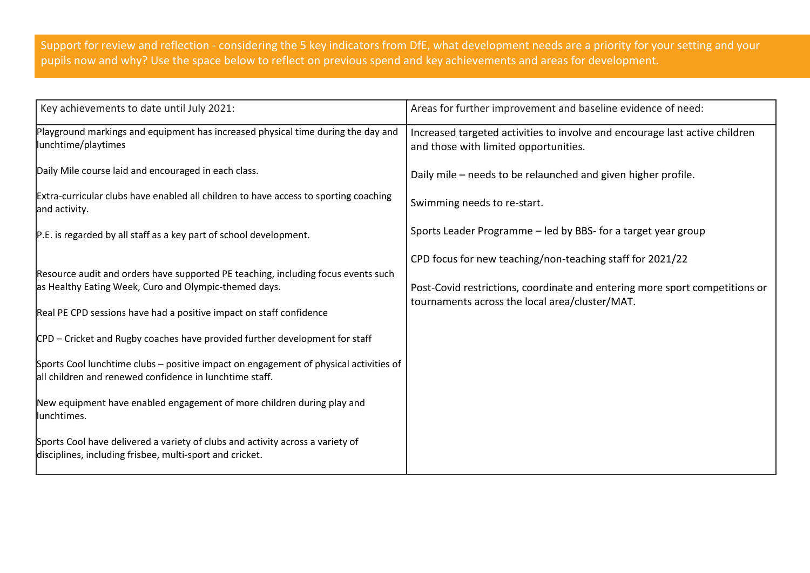Support for review and reflection - considering the 5 key indicators from DfE, what development needs are a priority for your setting and your pupils now and why? Use the space below to reflect on previous spend and key achievements and areas for development.

| Key achievements to date until July 2021:                                                                                                                                                                                                                                                                                                                                                                                                                                                                                      | Areas for further improvement and baseline evidence of need:                                                                                                                               |
|--------------------------------------------------------------------------------------------------------------------------------------------------------------------------------------------------------------------------------------------------------------------------------------------------------------------------------------------------------------------------------------------------------------------------------------------------------------------------------------------------------------------------------|--------------------------------------------------------------------------------------------------------------------------------------------------------------------------------------------|
| Playground markings and equipment has increased physical time during the day and<br>lunchtime/playtimes                                                                                                                                                                                                                                                                                                                                                                                                                        | Increased targeted activities to involve and encourage last active children<br>and those with limited opportunities.                                                                       |
| Daily Mile course laid and encouraged in each class.                                                                                                                                                                                                                                                                                                                                                                                                                                                                           | Daily mile - needs to be relaunched and given higher profile.                                                                                                                              |
| Extra-curricular clubs have enabled all children to have access to sporting coaching<br>and activity.                                                                                                                                                                                                                                                                                                                                                                                                                          | Swimming needs to re-start.                                                                                                                                                                |
| P.E. is regarded by all staff as a key part of school development.                                                                                                                                                                                                                                                                                                                                                                                                                                                             | Sports Leader Programme - led by BBS- for a target year group                                                                                                                              |
| Resource audit and orders have supported PE teaching, including focus events such<br>as Healthy Eating Week, Curo and Olympic-themed days.<br>Real PE CPD sessions have had a positive impact on staff confidence<br>CPD - Cricket and Rugby coaches have provided further development for staff<br>Sports Cool lunchtime clubs - positive impact on engagement of physical activities of<br>all children and renewed confidence in lunchtime staff.<br>New equipment have enabled engagement of more children during play and | CPD focus for new teaching/non-teaching staff for 2021/22<br>Post-Covid restrictions, coordinate and entering more sport competitions or<br>tournaments across the local area/cluster/MAT. |
| lunchtimes.<br>Sports Cool have delivered a variety of clubs and activity across a variety of                                                                                                                                                                                                                                                                                                                                                                                                                                  |                                                                                                                                                                                            |
| disciplines, including frisbee, multi-sport and cricket.                                                                                                                                                                                                                                                                                                                                                                                                                                                                       |                                                                                                                                                                                            |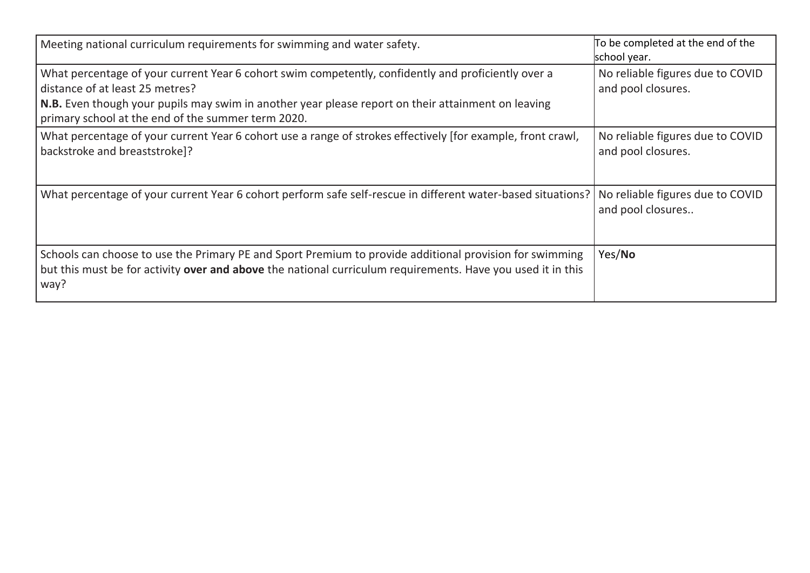| Meeting national curriculum requirements for swimming and water safety.                                                                                                                                                                                                                            | To be completed at the end of the<br>school year.      |
|----------------------------------------------------------------------------------------------------------------------------------------------------------------------------------------------------------------------------------------------------------------------------------------------------|--------------------------------------------------------|
| What percentage of your current Year 6 cohort swim competently, confidently and proficiently over a<br>distance of at least 25 metres?<br>N.B. Even though your pupils may swim in another year please report on their attainment on leaving<br>primary school at the end of the summer term 2020. | No reliable figures due to COVID<br>and pool closures. |
| What percentage of your current Year 6 cohort use a range of strokes effectively [for example, front crawl,<br>backstroke and breaststroke]?                                                                                                                                                       | No reliable figures due to COVID<br>and pool closures. |
| What percentage of your current Year 6 cohort perform safe self-rescue in different water-based situations?                                                                                                                                                                                        | No reliable figures due to COVID<br>and pool closures  |
| Schools can choose to use the Primary PE and Sport Premium to provide additional provision for swimming<br>but this must be for activity over and above the national curriculum requirements. Have you used it in this<br>way?                                                                     | Yes/No                                                 |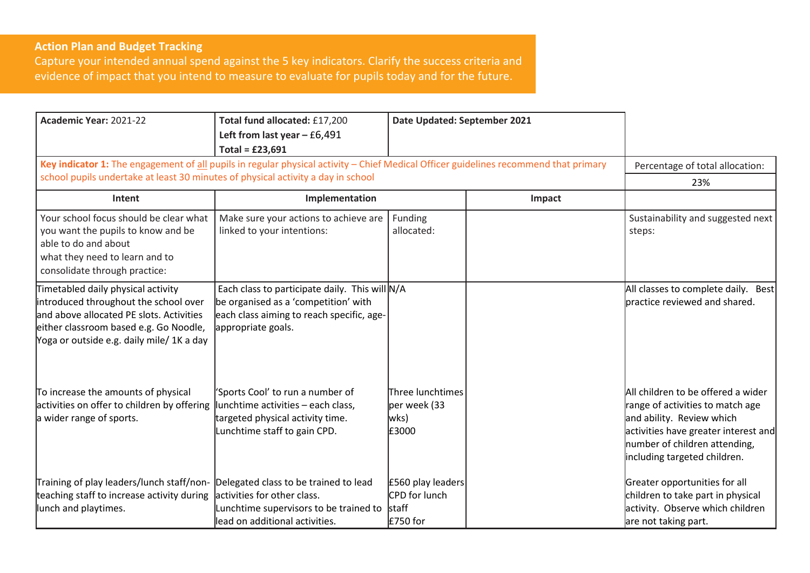## **Action Plan and Budget Tracking**

Capture your intended annual spend against the 5 key indicators. Clarify the success criteria and evidence of impact that you intend to measure to evaluate for pupils today and for the future.

| Academic Year: 2021-22                                                                                                                                                                                         | Total fund allocated: £17,200<br>Left from last year $-66,491$<br>Total = $£23,691$                                                                            | Date Updated: September 2021                      |        |                                                                                                                                                                                                              |
|----------------------------------------------------------------------------------------------------------------------------------------------------------------------------------------------------------------|----------------------------------------------------------------------------------------------------------------------------------------------------------------|---------------------------------------------------|--------|--------------------------------------------------------------------------------------------------------------------------------------------------------------------------------------------------------------|
| Key indicator 1: The engagement of all pupils in regular physical activity - Chief Medical Officer guidelines recommend that primary                                                                           |                                                                                                                                                                |                                                   |        | Percentage of total allocation:                                                                                                                                                                              |
| school pupils undertake at least 30 minutes of physical activity a day in school                                                                                                                               |                                                                                                                                                                |                                                   |        | 23%                                                                                                                                                                                                          |
| Intent                                                                                                                                                                                                         | Implementation                                                                                                                                                 |                                                   | Impact |                                                                                                                                                                                                              |
| Your school focus should be clear what<br>you want the pupils to know and be<br>able to do and about<br>what they need to learn and to<br>consolidate through practice:                                        | Make sure your actions to achieve are<br>linked to your intentions:                                                                                            | Funding<br>allocated:                             |        | Sustainability and suggested next<br>steps:                                                                                                                                                                  |
| Timetabled daily physical activity<br>introduced throughout the school over<br>and above allocated PE slots. Activities<br>either classroom based e.g. Go Noodle,<br>Yoga or outside e.g. daily mile/ 1K a day | Each class to participate daily. This will N/A<br>be organised as a 'competition' with<br>each class aiming to reach specific, age-<br>appropriate goals.      |                                                   |        | All classes to complete daily. Best<br>practice reviewed and shared.                                                                                                                                         |
| To increase the amounts of physical<br>activities on offer to children by offering<br>a wider range of sports.                                                                                                 | 'Sports Cool' to run a number of<br>lunchtime activities - each class,<br>targeted physical activity time.<br>Lunchtime staff to gain CPD.                     | Three lunchtimes<br>per week (33<br>wks)<br>£3000 |        | All children to be offered a wider<br>range of activities to match age<br>and ability. Review which<br>activities have greater interest and<br>number of children attending,<br>including targeted children. |
| Training of play leaders/lunch staff/non-<br>teaching staff to increase activity during<br>lunch and playtimes.                                                                                                | Delegated class to be trained to lead<br>activities for other class.<br>Lunchtime supervisors to be trained to $\vert$ staff<br>lead on additional activities. | £560 play leaders<br>CPD for lunch<br>£750 for    |        | Greater opportunities for all<br>children to take part in physical<br>activity. Observe which children<br>are not taking part.                                                                               |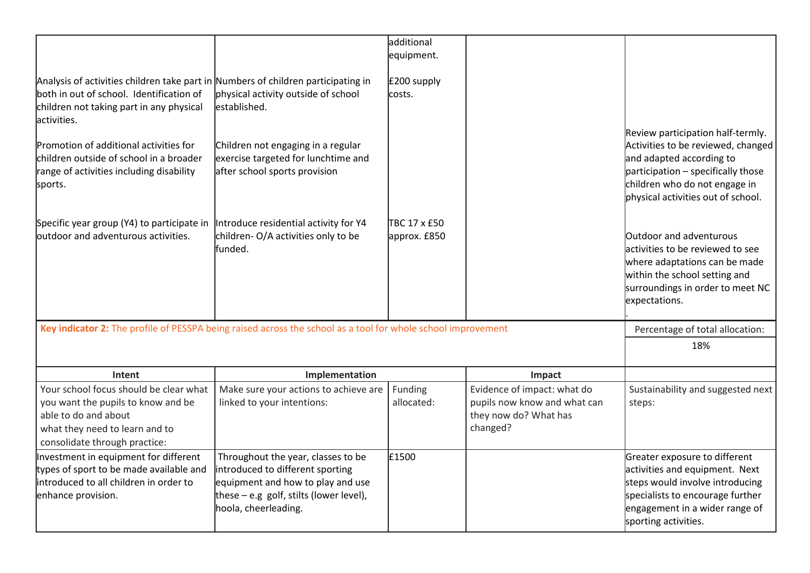| Analysis of activities children take part in Numbers of children participating in<br>both in out of school. Identification of<br>children not taking part in any physical | physical activity outside of school<br>lestablished.                                                                                                                             | additional<br>equipment.<br>£200 supply<br>lcosts. |                                                                                                  |                                                                                                                                                                                                                  |
|---------------------------------------------------------------------------------------------------------------------------------------------------------------------------|----------------------------------------------------------------------------------------------------------------------------------------------------------------------------------|----------------------------------------------------|--------------------------------------------------------------------------------------------------|------------------------------------------------------------------------------------------------------------------------------------------------------------------------------------------------------------------|
| lactivities.<br>Promotion of additional activities for<br>children outside of school in a broader<br>range of activities including disability<br>sports.                  | Children not engaging in a regular<br>exercise targeted for lunchtime and<br>after school sports provision                                                                       |                                                    |                                                                                                  | Review participation half-termly.<br>Activities to be reviewed, changed<br>and adapted according to<br>participation - specifically those<br>children who do not engage in<br>physical activities out of school. |
| Specific year group (Y4) to participate in<br>outdoor and adventurous activities.                                                                                         | Introduce residential activity for Y4<br>children-O/A activities only to be<br>lfunded.                                                                                          | TBC 17 x £50<br>approx. £850                       |                                                                                                  | <b>Outdoor and adventurous</b><br>activities to be reviewed to see<br>where adaptations can be made<br>within the school setting and<br>surroundings in order to meet NC<br>expectations.                        |
| Key indicator 2: The profile of PESSPA being raised across the school as a tool for whole school improvement                                                              |                                                                                                                                                                                  |                                                    |                                                                                                  | Percentage of total allocation:                                                                                                                                                                                  |
|                                                                                                                                                                           |                                                                                                                                                                                  |                                                    |                                                                                                  | 18%                                                                                                                                                                                                              |
| Intent                                                                                                                                                                    | Implementation                                                                                                                                                                   |                                                    | Impact                                                                                           |                                                                                                                                                                                                                  |
| Your school focus should be clear what<br>you want the pupils to know and be<br>able to do and about<br>what they need to learn and to<br>consolidate through practice:   | Make sure your actions to achieve are<br>linked to your intentions:                                                                                                              | Funding<br>allocated:                              | Evidence of impact: what do<br>pupils now know and what can<br>they now do? What has<br>changed? | Sustainability and suggested next<br>steps:                                                                                                                                                                      |
| Investment in equipment for different<br>types of sport to be made available and<br>lintroduced to all children in order to<br>enhance provision.                         | Throughout the year, classes to be<br>introduced to different sporting<br>equipment and how to play and use<br>these $-$ e.g golf, stilts (lower level),<br>hoola, cheerleading. | £1500                                              |                                                                                                  | Greater exposure to different<br>activities and equipment. Next<br>steps would involve introducing<br>specialists to encourage further<br>engagement in a wider range of<br>sporting activities.                 |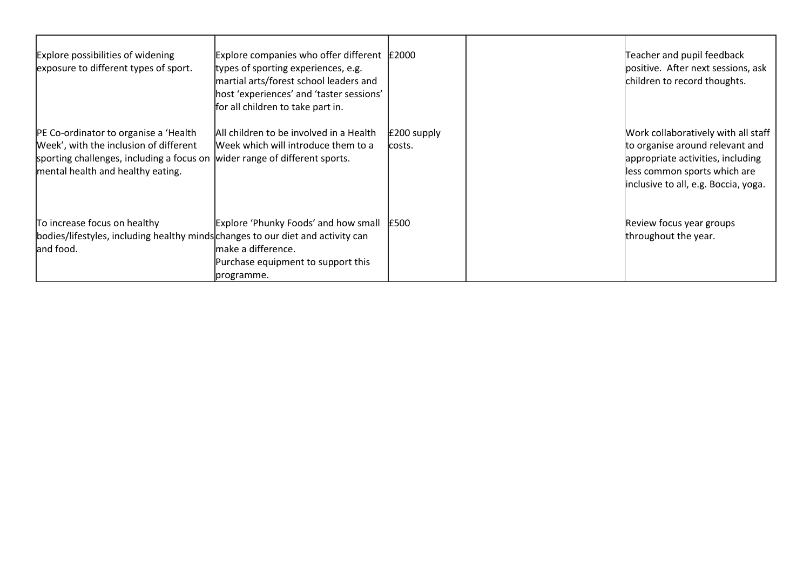| Explore possibilities of widening<br>exposure to different types of sport.                                                                                                                          | Explore companies who offer different $\vert$ £2000<br>types of sporting experiences, e.g.<br>martial arts/forest school leaders and<br>host 'experiences' and 'taster sessions'<br>for all children to take part in. |                        | Teacher and pupil feedback<br>positive. After next sessions, ask<br>children to record thoughts.                                                                                    |
|-----------------------------------------------------------------------------------------------------------------------------------------------------------------------------------------------------|-----------------------------------------------------------------------------------------------------------------------------------------------------------------------------------------------------------------------|------------------------|-------------------------------------------------------------------------------------------------------------------------------------------------------------------------------------|
| PE Co-ordinator to organise a 'Health'<br>Week', with the inclusion of different<br>sporting challenges, including a focus on wider range of different sports.<br>mental health and healthy eating. | All children to be involved in a Health<br>Week which will introduce them to a                                                                                                                                        | £200 supply<br>lcosts. | Work collaboratively with all staff<br>to organise around relevant and<br>appropriate activities, including<br>less common sports which are<br>inclusive to all, e.g. Boccia, yoga. |
| To increase focus on healthy<br>bodies/lifestyles, including healthy minds changes to our diet and activity can<br>and food.                                                                        | Explore 'Phunky Foods' and how small E500<br>make a difference.<br>Purchase equipment to support this<br>programme.                                                                                                   |                        | Review focus year groups<br>throughout the year.                                                                                                                                    |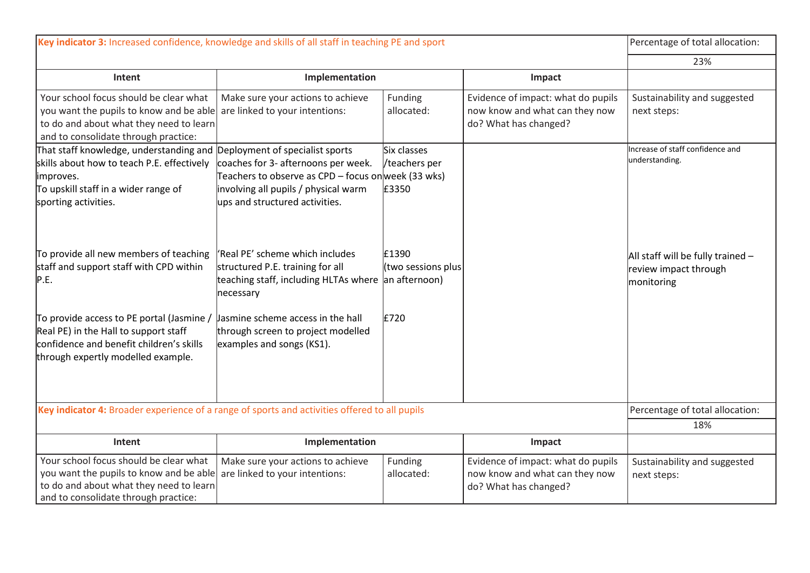| Key indicator 3: Increased confidence, knowledge and skills of all staff in teaching PE and sport                                                                                                  |                                                                                                                                                                     |                                              |                                                                                               | Percentage of total allocation:                                          |
|----------------------------------------------------------------------------------------------------------------------------------------------------------------------------------------------------|---------------------------------------------------------------------------------------------------------------------------------------------------------------------|----------------------------------------------|-----------------------------------------------------------------------------------------------|--------------------------------------------------------------------------|
|                                                                                                                                                                                                    |                                                                                                                                                                     |                                              |                                                                                               | 23%                                                                      |
| Intent                                                                                                                                                                                             | Implementation                                                                                                                                                      |                                              | Impact                                                                                        |                                                                          |
| Your school focus should be clear what<br>you want the pupils to know and be able<br>to do and about what they need to learn<br>and to consolidate through practice:                               | Make sure your actions to achieve<br>are linked to your intentions:                                                                                                 | Funding<br>allocated:                        | Evidence of impact: what do pupils<br>now know and what can they now<br>do? What has changed? | Sustainability and suggested<br>next steps:                              |
| That staff knowledge, understanding and Deployment of specialist sports<br>skills about how to teach P.E. effectively<br>improves.<br>To upskill staff in a wider range of<br>sporting activities. | coaches for 3- afternoons per week.<br>Feachers to observe as CPD – focus onweek (33 wks)<br>involving all pupils / physical warm<br>ups and structured activities. | Six classes<br>/teachers per<br>£3350        |                                                                                               | Increase of staff confidence and<br>understanding.                       |
| To provide all new members of teaching<br>staff and support staff with CPD within<br>P.E.                                                                                                          | 'Real PE' scheme which includes<br>structured P.E. training for all<br>teaching staff, including HLTAs where<br>necessary                                           | £1390<br>(two sessions plus<br>an afternoon) |                                                                                               | All staff will be fully trained -<br>review impact through<br>monitoring |
| To provide access to PE portal (Jasmine /<br>Real PE) in the Hall to support staff<br>confidence and benefit children's skills<br>through expertly modelled example.                               | Jasmine scheme access in the hall<br>through screen to project modelled<br>examples and songs (KS1).                                                                | £720                                         |                                                                                               |                                                                          |
| Key indicator 4: Broader experience of a range of sports and activities offered to all pupils                                                                                                      |                                                                                                                                                                     |                                              |                                                                                               | Percentage of total allocation:                                          |
|                                                                                                                                                                                                    |                                                                                                                                                                     |                                              |                                                                                               | 18%                                                                      |
| <b>Intent</b>                                                                                                                                                                                      | Implementation                                                                                                                                                      |                                              | Impact                                                                                        |                                                                          |
| Your school focus should be clear what<br>you want the pupils to know and be able<br>to do and about what they need to learn<br>and to consolidate through practice:                               | Make sure your actions to achieve<br>are linked to your intentions:                                                                                                 | Funding<br>allocated:                        | Evidence of impact: what do pupils<br>now know and what can they now<br>do? What has changed? | Sustainability and suggested<br>next steps:                              |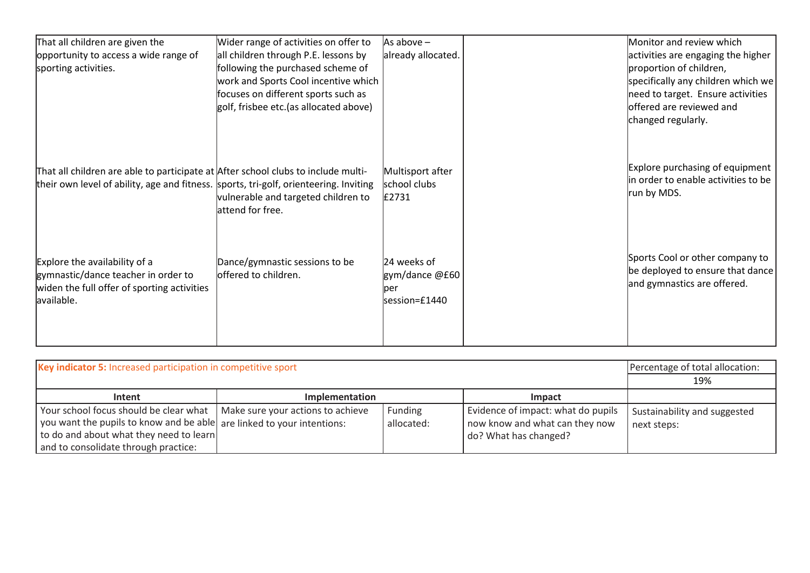| That all children are given the<br>opportunity to access a wide range of<br>sporting activities.                                                                           | Wider range of activities on offer to<br>all children through P.E. lessons by<br>following the purchased scheme of<br>work and Sports Cool incentive which<br>focuses on different sports such as<br>golf, frisbee etc. (as allocated above) | As above $-$<br>already allocated.                      | Monitor and review which<br>activities are engaging the higher<br>proportion of children,<br>specifically any children which we<br>need to target. Ensure activities<br>offered are reviewed and<br>changed regularly. |
|----------------------------------------------------------------------------------------------------------------------------------------------------------------------------|----------------------------------------------------------------------------------------------------------------------------------------------------------------------------------------------------------------------------------------------|---------------------------------------------------------|------------------------------------------------------------------------------------------------------------------------------------------------------------------------------------------------------------------------|
| That all children are able to participate at After school clubs to include multi-<br>their own level of ability, age and fitness. sports, tri-golf, orienteering. Inviting | vulnerable and targeted children to<br>attend for free.                                                                                                                                                                                      | Multisport after<br>school clubs<br>£2731               | Explore purchasing of equipment<br>in order to enable activities to be<br>run by MDS.                                                                                                                                  |
| Explore the availability of a<br>gymnastic/dance teacher in order to<br>widen the full offer of sporting activities<br>available.                                          | Dance/gymnastic sessions to be<br>offered to children.                                                                                                                                                                                       | 24 weeks of<br>gym/dance @£60<br>lper<br>lsession=£1440 | Sports Cool or other company to<br>be deployed to ensure that dance<br>and gymnastics are offered.                                                                                                                     |

| Key indicator 5: Increased participation in competitive sport                                                                                                                                                                           |                       |                       |                                                                                               | Percentage of total allocation:<br>19%      |
|-----------------------------------------------------------------------------------------------------------------------------------------------------------------------------------------------------------------------------------------|-----------------------|-----------------------|-----------------------------------------------------------------------------------------------|---------------------------------------------|
| Intent                                                                                                                                                                                                                                  | <b>Implementation</b> |                       | Impact                                                                                        |                                             |
| Your school focus should be clear what   Make sure your actions to achieve<br>you want the pupils to know and be able are linked to your intentions:<br>to do and about what they need to learn<br>and to consolidate through practice: |                       | Funding<br>allocated: | Evidence of impact: what do pupils<br>now know and what can they now<br>do? What has changed? | Sustainability and suggested<br>next steps: |